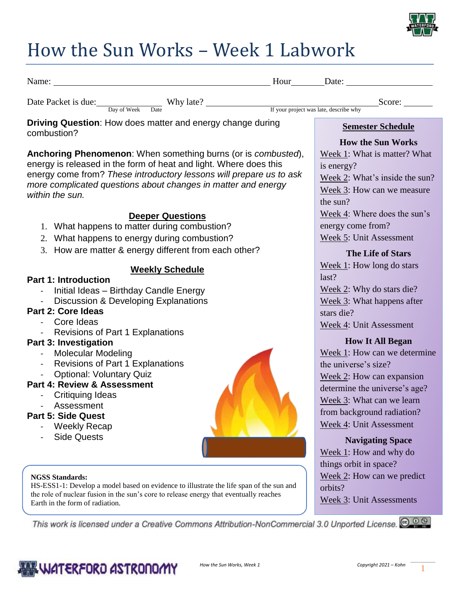

## How the Sun Works – Week 1 Labwork

| Name: Name and the state of the state of the state of the state of the state of the state of the state of the state of the state of the state of the state of the state of the state of the state of the state of the state of                                                                |                           | Hour Date:                                                                                                                                             |
|-----------------------------------------------------------------------------------------------------------------------------------------------------------------------------------------------------------------------------------------------------------------------------------------------|---------------------------|--------------------------------------------------------------------------------------------------------------------------------------------------------|
| Date Packet is due: Day of Week Date Why late? If your project was late, describe why                                                                                                                                                                                                         |                           | Score: $\_\_$                                                                                                                                          |
| <b>Driving Question:</b> How does matter and energy change during                                                                                                                                                                                                                             |                           | <b>Semester Schedule</b>                                                                                                                               |
| combustion?                                                                                                                                                                                                                                                                                   |                           | <b>How the Sun Works</b>                                                                                                                               |
| Anchoring Phenomenon: When something burns (or is combusted),<br>energy is released in the form of heat and light. Where does this<br>energy come from? These introductory lessons will prepare us to ask<br>more complicated questions about changes in matter and energy<br>within the sun. |                           | Week 1: What is matter? What<br>is energy?<br>Week 2: What's inside the sun?<br>Week 3: How can we measure<br>the sun?<br>Week 4: Where does the sun's |
| <b>Deeper Questions</b><br>1. What happens to matter during combustion?                                                                                                                                                                                                                       |                           | energy come from?                                                                                                                                      |
| 2. What happens to energy during combustion?<br>3. How are matter & energy different from each other?                                                                                                                                                                                         |                           | Week 5: Unit Assessment                                                                                                                                |
| <b>Weekly Schedule</b><br><b>Part 1: Introduction</b><br>Initial Ideas - Birthday Candle Energy<br>Discussion & Developing Explanations                                                                                                                                                       |                           | <b>The Life of Stars</b><br>Week $1$ : How long do stars<br>last?<br>Week 2: Why do stars die?<br>Week 3: What happens after                           |
| <b>Part 2: Core Ideas</b><br>Core Ideas<br><b>Revisions of Part 1 Explanations</b>                                                                                                                                                                                                            |                           | stars die?<br>Week 4: Unit Assessment                                                                                                                  |
| <b>Part 3: Investigation</b><br><b>Molecular Modeling</b><br>Revisions of Part 1 Explanations<br><b>Optional: Voluntary Quiz</b><br>Part 4: Review & Assessment                                                                                                                               |                           | <b>How It All Began</b><br>Week 1: How can we determine<br>the universe's size?<br>Week 2: How can expansion                                           |
| <b>Critiquing Ideas</b><br>Assessment<br><b>Part 5: Side Quest</b><br><b>Weekly Recap</b>                                                                                                                                                                                                     |                           | determine the universe's age?<br>Week 3: What can we learn<br>from background radiation?<br>Week 4: Unit Assessment                                    |
| <b>Side Quests</b>                                                                                                                                                                                                                                                                            |                           | <b>Navigating Space</b><br>Week 1: How and why do<br>things orbit in space?                                                                            |
| <b>NGSS Standards:</b><br>HS-ESS1-1: Develop a model based on evidence to illustrate the life span of the sun and<br>the role of nuclear fusion in the sun's core to release energy that eventually reaches<br>Earth in the form of radiation.                                                |                           | Week 2: How can we predict<br>orbits?<br>Week 3: Unit Assessments                                                                                      |
| This work is licensed under a Creative Commons Attribution-NonCommercial 3.0 Unported License. @ 0 @                                                                                                                                                                                          |                           |                                                                                                                                                        |
| & WATERFORD ASTRONOMY                                                                                                                                                                                                                                                                         | How the Sun Works, Week 1 | Copyright 2021 - Kohn                                                                                                                                  |

Ę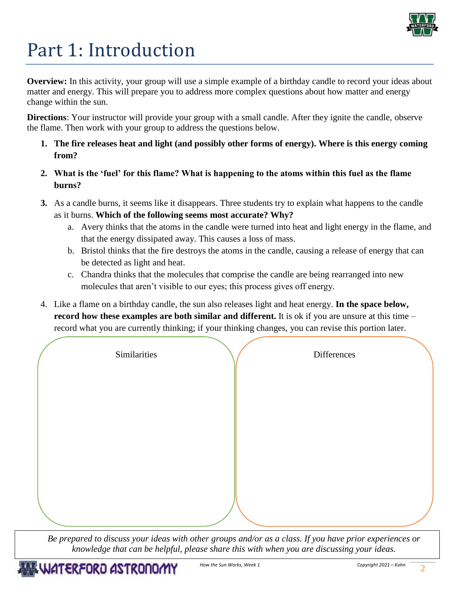

# Part 1: Introduction

**Overview:** In this activity, your group will use a simple example of a birthday candle to record your ideas about matter and energy. This will prepare you to address more complex questions about how matter and energy change within the sun.

**Directions**: Your instructor will provide your group with a small candle. After they ignite the candle, observe the flame. Then work with your group to address the questions below.

- **1. The fire releases heat and light (and possibly other forms of energy). Where is this energy coming from?**
- **2. What is the 'fuel' for this flame? What is happening to the atoms within this fuel as the flame burns?**
- **3.** As a candle burns, it seems like it disappears. Three students try to explain what happens to the candle as it burns. **Which of the following seems most accurate? Why?** 
	- a. Avery thinks that the atoms in the candle were turned into heat and light energy in the flame, and that the energy dissipated away. This causes a loss of mass.
	- b. Bristol thinks that the fire destroys the atoms in the candle, causing a release of energy that can be detected as light and heat.
	- c. Chandra thinks that the molecules that comprise the candle are being rearranged into new molecules that aren't visible to our eyes; this process gives off energy.
- 4. Like a flame on a birthday candle, the sun also releases light and heat energy. **In the space below, record how these examples are both similar and different.** It is ok if you are unsure at this time – record what you are currently thinking; if your thinking changes, you can revise this portion later.

| Similarities | Differences |  |
|--------------|-------------|--|
|              |             |  |
|              |             |  |
|              |             |  |
|              |             |  |
|              |             |  |

*Be prepared to discuss your ideas with other groups and/or as a class. If you have prior experiences or knowledge that can be helpful, please share this with when you are discussing your ideas.*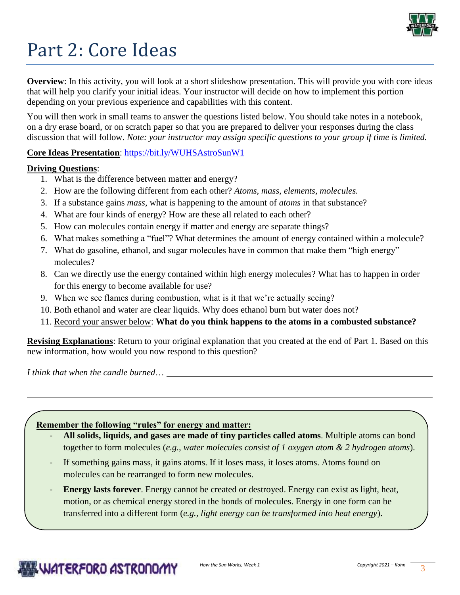

## Part 2: Core Ideas

**Overview**: In this activity, you will look at a short slideshow presentation. This will provide you with core ideas that will help you clarify your initial ideas. Your instructor will decide on how to implement this portion depending on your previous experience and capabilities with this content.

You will then work in small teams to answer the questions listed below. You should take notes in a notebook, on a dry erase board, or on scratch paper so that you are prepared to deliver your responses during the class discussion that will follow. *Note: your instructor may assign specific questions to your group if time is limited.* 

## **Core Ideas Presentation**: <https://bit.ly/WUHSAstroSunW1>

### **Driving Questions**:

- 1. What is the difference between matter and energy?
- 2. How are the following different from each other? *Atoms, mass, elements, molecules.*
- 3. If a substance gains *mass*, what is happening to the amount of *atoms* in that substance?
- 4. What are four kinds of energy? How are these all related to each other?
- 5. How can molecules contain energy if matter and energy are separate things?
- 6. What makes something a "fuel"? What determines the amount of energy contained within a molecule?
- 7. What do gasoline, ethanol, and sugar molecules have in common that make them "high energy" molecules?
- 8. Can we directly use the energy contained within high energy molecules? What has to happen in order for this energy to become available for use?
- 9. When we see flames during combustion, what is it that we're actually seeing?
- 10. Both ethanol and water are clear liquids. Why does ethanol burn but water does not?
- 11. Record your answer below: **What do you think happens to the atoms in a combusted substance?**

**Revising Explanations**: Return to your original explanation that you created at the end of Part 1. Based on this new information, how would you now respond to this question?

*I think that when the candle burned*…

- **All solids, liquids, and gases are made of tiny particles called atoms**. Multiple atoms can bond together to form molecules (*e.g., water molecules consist of 1 oxygen atom & 2 hydrogen atoms*).
- If something gains mass, it gains atoms. If it loses mass, it loses atoms. Atoms found on molecules can be rearranged to form new molecules.
- **Energy lasts forever.** Energy cannot be created or destroyed. Energy can exist as light, heat, motion, or as chemical energy stored in the bonds of molecules. Energy in one form can be transferred into a different form (*e.g., light energy can be transformed into heat energy*).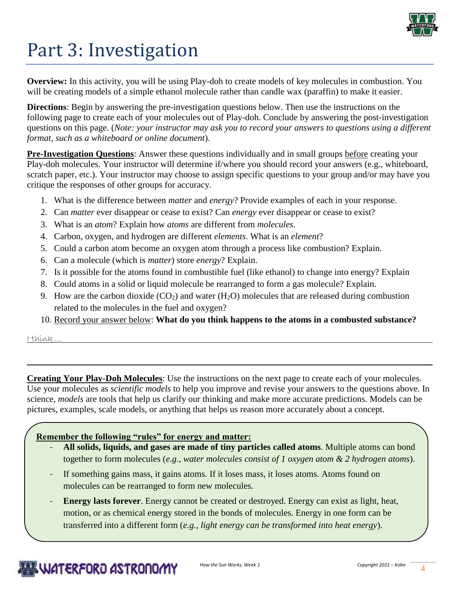

# Part 3: Investigation

**Overview:** In this activity, you will be using Play-doh to create models of key molecules in combustion. You will be creating models of a simple ethanol molecule rather than candle wax (paraffin) to make it easier.

**Directions**: Begin by answering the pre-investigation questions below. Then use the instructions on the following page to create each of your molecules out of Play-doh. Conclude by answering the post-investigation questions on this page. (*Note: your instructor may ask you to record your answers to questions using a different format, such as a whiteboard or online document*).

**Pre-Investigation Questions**: Answer these questions individually and in small groups before creating your Play-doh molecules. Your instructor will determine if/where you should record your answers (e.g., whiteboard, scratch paper, etc.). Your instructor may choose to assign specific questions to your group and/or may have you critique the responses of other groups for accuracy.

- 1. What is the difference between *matter* and *energy*? Provide examples of each in your response.
- 2. Can *matter* ever disappear or cease to exist? Can *energy* ever disappear or cease to exist?
- 3. What is an *atom*? Explain how *atoms* are different from *molecules*.
- 4. Carbon, oxygen, and hydrogen are different *elements*. What is an *element*?
- 5. Could a carbon atom become an oxygen atom through a process like combustion? Explain.
- 6. Can a molecule (which is *matter*) store *energy*? Explain.
- 7. Is it possible for the atoms found in combustible fuel (like ethanol) to change into energy? Explain
- 8. Could atoms in a solid or liquid molecule be rearranged to form a gas molecule? Explain.
- 9. How are the carbon dioxide  $(CO_2)$  and water  $(H_2O)$  molecules that are released during combustion related to the molecules in the fuel and oxygen?
- 10. Record your answer below: **What do you think happens to the atoms in a combusted substance?**

I think…

**Creating Your Play-Doh Molecules**: Use the instructions on the next page to create each of your molecules. Use your molecules as *scientific models* to help you improve and revise your answers to the questions above. In science, *models* are tools that help us clarify our thinking and make more accurate predictions. Models can be pictures, examples, scale models, or anything that helps us reason more accurately about a concept.

- **All solids, liquids, and gases are made of tiny particles called atoms**. Multiple atoms can bond together to form molecules (*e.g., water molecules consist of 1 oxygen atom & 2 hydrogen atoms*).
- If something gains mass, it gains atoms. If it loses mass, it loses atoms. Atoms found on molecules can be rearranged to form new molecules.
- **Energy lasts forever.** Energy cannot be created or destroyed. Energy can exist as light, heat, motion, or as chemical energy stored in the bonds of molecules. Energy in one form can be transferred into a different form (*e.g., light energy can be transformed into heat energy*).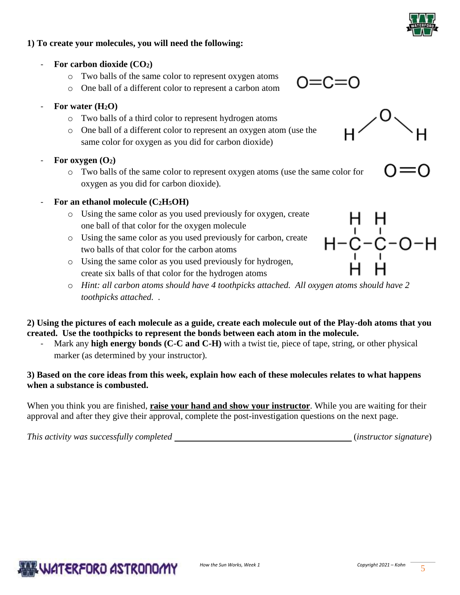

### **1) To create your molecules, you will need the following:**

- **For carbon dioxide (CO2)**
	- o Two balls of the same color to represent oxygen atoms
	- o One ball of a different color to represent a carbon atom
- **For water (H2O)**
	- o Two balls of a third color to represent hydrogen atoms
	- o One ball of a different color to represent an oxygen atom (use the same color for oxygen as you did for carbon dioxide)
- For oxygen  $(O_2)$ 
	- o Two balls of the same color to represent oxygen atoms (use the same color for oxygen as you did for carbon dioxide).
- **For an ethanol molecule (C2H5OH)**
	- o Using the same color as you used previously for oxygen, create one ball of that color for the oxygen molecule
	- o Using the same color as you used previously for carbon, create two balls of that color for the carbon atoms
	- o Using the same color as you used previously for hydrogen, create six balls of that color for the hydrogen atoms
	- o *Hint: all carbon atoms should have 4 toothpicks attached. All oxygen atoms should have 2 toothpicks attached. .*

**2) Using the pictures of each molecule as a guide, create each molecule out of the Play-doh atoms that you created. Use the toothpicks to represent the bonds between each atom in the molecule.**

Mark any **high energy bonds (C-C and C-H)** with a twist tie, piece of tape, string, or other physical marker (as determined by your instructor).

### **3) Based on the core ideas from this week, explain how each of these molecules relates to what happens when a substance is combusted.**

When you think you are finished, **raise your hand and show your instructor**. While you are waiting for their approval and after they give their approval, complete the post-investigation questions on the next page.

*This activity was successfully completed* (*instructor signature*)



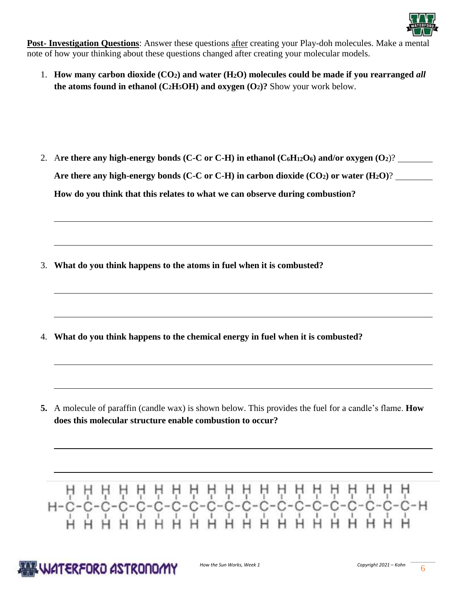

**Post- Investigation Questions**: Answer these questions after creating your Play-doh molecules. Make a mental note of how your thinking about these questions changed after creating your molecular models.

1. **How many carbon dioxide (CO2) and water (H2O) molecules could be made if you rearranged** *all* **the atoms found in ethanol (C<sub>2</sub>H<sub>5</sub>OH) and oxygen (O<sub>2</sub>)? Show your work below.** 

2. Are there any high-energy bonds (C-C or C-H) in ethanol ( $C_6H_12O_6$ ) and/or oxygen  $(O_2)$ ? **Are there any high-energy bonds (C-C or C-H) in carbon dioxide (CO2) or water (H2O)**? **How do you think that this relates to what we can observe during combustion?** 

3. **What do you think happens to the atoms in fuel when it is combusted?**

4. **What do you think happens to the chemical energy in fuel when it is combusted?**

**5.** A molecule of paraffin (candle wax) is shown below. This provides the fuel for a candle's flame. **How does this molecular structure enable combustion to occur?** 

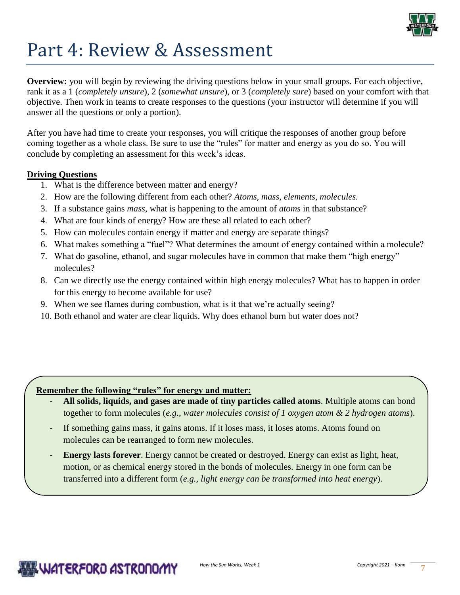

## Part 4: Review & Assessment

**Overview:** you will begin by reviewing the driving questions below in your small groups. For each objective, rank it as a 1 (*completely unsure*), 2 (*somewhat unsure*), or 3 (*completely sure*) based on your comfort with that objective. Then work in teams to create responses to the questions (your instructor will determine if you will answer all the questions or only a portion).

After you have had time to create your responses, you will critique the responses of another group before coming together as a whole class. Be sure to use the "rules" for matter and energy as you do so. You will conclude by completing an assessment for this week's ideas.

### **Driving Questions**

- 1. What is the difference between matter and energy?
- 2. How are the following different from each other? *Atoms, mass, elements, molecules.*
- 3. If a substance gains *mass*, what is happening to the amount of *atoms* in that substance?
- 4. What are four kinds of energy? How are these all related to each other?
- 5. How can molecules contain energy if matter and energy are separate things?
- 6. What makes something a "fuel"? What determines the amount of energy contained within a molecule?
- 7. What do gasoline, ethanol, and sugar molecules have in common that make them "high energy" molecules?
- 8. Can we directly use the energy contained within high energy molecules? What has to happen in order for this energy to become available for use?
- 9. When we see flames during combustion, what is it that we're actually seeing?
- 10. Both ethanol and water are clear liquids. Why does ethanol burn but water does not?

- **All solids, liquids, and gases are made of tiny particles called atoms**. Multiple atoms can bond together to form molecules (*e.g., water molecules consist of 1 oxygen atom & 2 hydrogen atoms*).
- If something gains mass, it gains atoms. If it loses mass, it loses atoms. Atoms found on molecules can be rearranged to form new molecules.
- **Energy lasts forever**. Energy cannot be created or destroyed. Energy can exist as light, heat, motion, or as chemical energy stored in the bonds of molecules. Energy in one form can be transferred into a different form (*e.g., light energy can be transformed into heat energy*).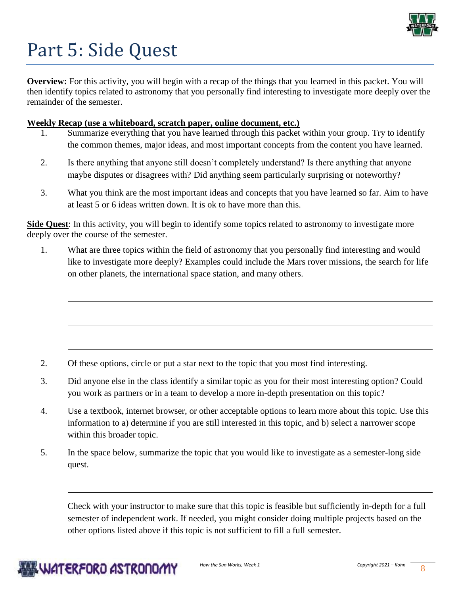

## Part 5: Side Quest

**Overview:** For this activity, you will begin with a recap of the things that you learned in this packet. You will then identify topics related to astronomy that you personally find interesting to investigate more deeply over the remainder of the semester.

### **Weekly Recap (use a whiteboard, scratch paper, online document, etc.)**

- Summarize everything that you have learned through this packet within your group. Try to identify the common themes, major ideas, and most important concepts from the content you have learned.
- 2. Is there anything that anyone still doesn't completely understand? Is there anything that anyone maybe disputes or disagrees with? Did anything seem particularly surprising or noteworthy?
- 3. What you think are the most important ideas and concepts that you have learned so far. Aim to have at least 5 or 6 ideas written down. It is ok to have more than this.

**Side Quest**: In this activity, you will begin to identify some topics related to astronomy to investigate more deeply over the course of the semester.

1. What are three topics within the field of astronomy that you personally find interesting and would like to investigate more deeply? Examples could include the Mars rover missions, the search for life on other planets, the international space station, and many others.

- 2. Of these options, circle or put a star next to the topic that you most find interesting.
- 3. Did anyone else in the class identify a similar topic as you for their most interesting option? Could you work as partners or in a team to develop a more in-depth presentation on this topic?
- 4. Use a textbook, internet browser, or other acceptable options to learn more about this topic. Use this information to a) determine if you are still interested in this topic, and b) select a narrower scope within this broader topic.
- 5. In the space below, summarize the topic that you would like to investigate as a semester-long side quest.

Check with your instructor to make sure that this topic is feasible but sufficiently in-depth for a full semester of independent work. If needed, you might consider doing multiple projects based on the other options listed above if this topic is not sufficient to fill a full semester.

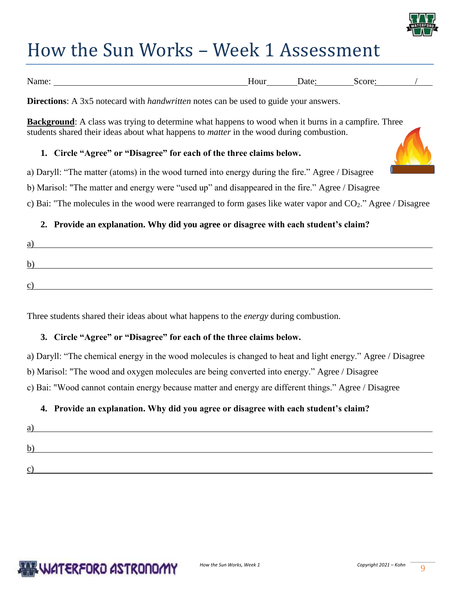

## How the Sun Works – Week 1 Assessment

| Name: | Hour | Jate | core:<br>5C. |  |
|-------|------|------|--------------|--|

**Directions**: A 3x5 notecard with *handwritten* notes can be used to guide your answers.

**Background**: A class was trying to determine what happens to wood when it burns in a campfire. Three students shared their ideas about what happens to *matter* in the wood during combustion.

## **1. Circle "Agree" or "Disagree" for each of the three claims below.**

a) Daryll: "The matter (atoms) in the wood turned into energy during the fire." Agree / Disagree

b) Marisol: "The matter and energy were "used up" and disappeared in the fire." Agree / Disagree

c) Bai: "The molecules in the wood were rearranged to form gases like water vapor and CO2." Agree / Disagree

## **2. Provide an explanation. Why did you agree or disagree with each student's claim?**

| b           |  |
|-------------|--|
| $\sim$<br>ັ |  |

Three students shared their ideas about what happens to the *energy* during combustion.

## **3. Circle "Agree" or "Disagree" for each of the three claims below.**

a) Daryll: "The chemical energy in the wood molecules is changed to heat and light energy." Agree / Disagree b) Marisol: "The wood and oxygen molecules are being converted into energy." Agree / Disagree c) Bai: "Wood cannot contain energy because matter and energy are different things." Agree / Disagree

## **4. Provide an explanation. Why did you agree or disagree with each student's claim?**

| a |  |  |
|---|--|--|
|   |  |  |
|   |  |  |

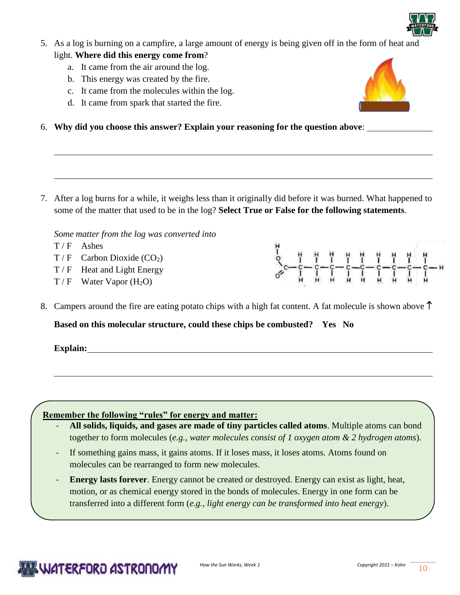

- 5. As a log is burning on a campfire, a large amount of energy is being given off in the form of heat and light. **Where did this energy come from**?
	- a. It came from the air around the log.
	- b. This energy was created by the fire.
	- c. It came from the molecules within the log.
	- d. It came from spark that started the fire.
- 6. **Why did you choose this answer? Explain your reasoning for the question above**:

7. After a log burns for a while, it weighs less than it originally did before it was burned. What happened to some of the matter that used to be in the log? **Select True or False for the following statements**.

*Some matter from the log was converted into*

- $T/F$  Ashes
- $T / F$  Carbon Dioxide (CO<sub>2</sub>)
- T / F Heat and Light Energy
- $T / F$  Water Vapor (H<sub>2</sub>O)
- 8. Campers around the fire are eating potato chips with a high fat content. A fat molecule is shown above  $\uparrow$

**Based on this molecular structure, could these chips be combusted? Yes No** 

**Explain:**

- **All solids, liquids, and gases are made of tiny particles called atoms**. Multiple atoms can bond together to form molecules (*e.g., water molecules consist of 1 oxygen atom & 2 hydrogen atoms*).
- If something gains mass, it gains atoms. If it loses mass, it loses atoms. Atoms found on molecules can be rearranged to form new molecules.
- **Energy lasts forever**. Energy cannot be created or destroyed. Energy can exist as light, heat, motion, or as chemical energy stored in the bonds of molecules. Energy in one form can be transferred into a different form (*e.g., light energy can be transformed into heat energy*).





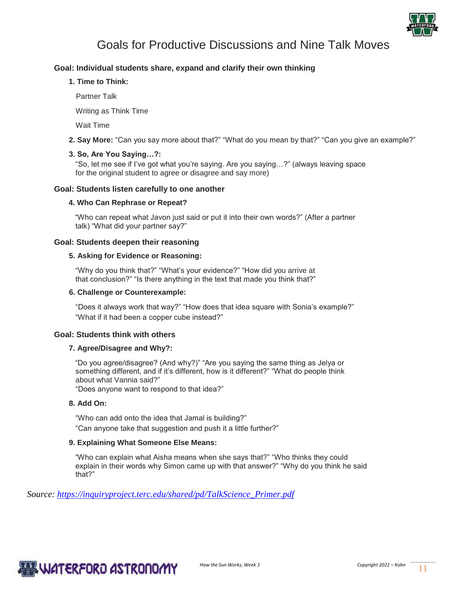

## Goals for Productive Discussions and Nine Talk Moves

#### **Goal: Individual students share, expand and clarify their own thinking**

**1. Time to Think:** 

Partner Talk

Writing as Think Time

Wait Time

**2. Say More:** "Can you say more about that?" "What do you mean by that?" "Can you give an example?"

#### **3. So, Are You Saying…?:**

"So, let me see if I've got what you're saying. Are you saying…?" (always leaving space for the original student to agree or disagree and say more)

#### **Goal: Students listen carefully to one another**

#### **4. Who Can Rephrase or Repeat?**

"Who can repeat what Javon just said or put it into their own words?" (After a partner talk) "What did your partner say?"

#### **Goal: Students deepen their reasoning**

#### **5. Asking for Evidence or Reasoning:**

"Why do you think that?" "What's your evidence?" "How did you arrive at that conclusion?" "Is there anything in the text that made you think that?"

#### **6. Challenge or Counterexample:**

"Does it always work that way?" "How does that idea square with Sonia's example?" "What if it had been a copper cube instead?"

#### **Goal: Students think with others**

#### **7. Agree/Disagree and Why?:**

"Do you agree/disagree? (And why?)" "Are you saying the same thing as Jelya or something different, and if it's different, how is it different?" "What do people think about what Vannia said?"

"Does anyone want to respond to that idea?"

#### **8. Add On:**

"Who can add onto the idea that Jamal is building?" "Can anyone take that suggestion and push it a little further?"

#### **9. Explaining What Someone Else Means:**

"Who can explain what Aisha means when she says that?" "Who thinks they could explain in their words why Simon came up with that answer?" "Why do you think he said that?"

*Source: [https://inquiryproject.terc.edu/shared/pd/TalkScience\\_Primer.pdf](https://inquiryproject.terc.edu/shared/pd/TalkScience_Primer.pdf)*